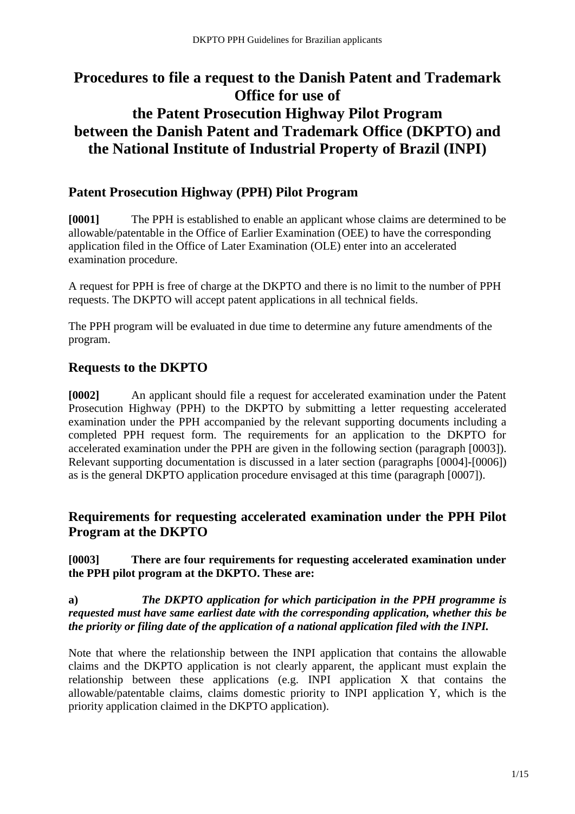# **Procedures to file a request to the Danish Patent and Trademark Office for use of the Patent Prosecution Highway Pilot Program between the Danish Patent and Trademark Office (DKPTO) and the National Institute of Industrial Property of Brazil (INPI)**

# **Patent Prosecution Highway (PPH) Pilot Program**

**[0001]** The PPH is established to enable an applicant whose claims are determined to be allowable/patentable in the Office of Earlier Examination (OEE) to have the corresponding application filed in the Office of Later Examination (OLE) enter into an accelerated examination procedure.

A request for PPH is free of charge at the DKPTO and there is no limit to the number of PPH requests. The DKPTO will accept patent applications in all technical fields.

The PPH program will be evaluated in due time to determine any future amendments of the program.

# **Requests to the DKPTO**

**[0002]** An applicant should file a request for accelerated examination under the Patent Prosecution Highway (PPH) to the DKPTO by submitting a letter requesting accelerated examination under the PPH accompanied by the relevant supporting documents including a completed PPH request form. The requirements for an application to the DKPTO for accelerated examination under the PPH are given in the following section (paragraph [0003]). Relevant supporting documentation is discussed in a later section (paragraphs [0004]-[0006]) as is the general DKPTO application procedure envisaged at this time (paragraph [0007]).

# **Requirements for requesting accelerated examination under the PPH Pilot Program at the DKPTO**

#### **[0003] There are four requirements for requesting accelerated examination under the PPH pilot program at the DKPTO. These are:**

#### **a)** *The DKPTO application for which participation in the PPH programme is requested must have same earliest date with the corresponding application, whether this be the priority or filing date of the application of a national application filed with the INPI.*

Note that where the relationship between the INPI application that contains the allowable claims and the DKPTO application is not clearly apparent, the applicant must explain the relationship between these applications (e.g. INPI application X that contains the allowable/patentable claims, claims domestic priority to INPI application Y, which is the priority application claimed in the DKPTO application).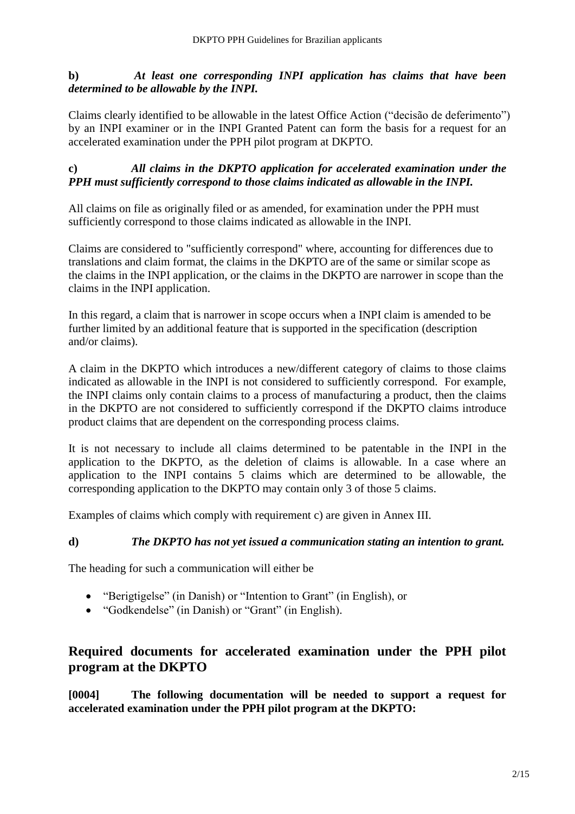## **b)** *At least one corresponding INPI application has claims that have been determined to be allowable by the INPI.*

Claims clearly identified to be allowable in the latest Office Action ("decisão de deferimento") by an INPI examiner or in the INPI Granted Patent can form the basis for a request for an accelerated examination under the PPH pilot program at DKPTO.

#### **c)** *All claims in the DKPTO application for accelerated examination under the PPH must sufficiently correspond to those claims indicated as allowable in the INPI.*

All claims on file as originally filed or as amended, for examination under the PPH must sufficiently correspond to those claims indicated as allowable in the INPI.

Claims are considered to "sufficiently correspond" where, accounting for differences due to translations and claim format, the claims in the DKPTO are of the same or similar scope as the claims in the INPI application, or the claims in the DKPTO are narrower in scope than the claims in the INPI application.

In this regard, a claim that is narrower in scope occurs when a INPI claim is amended to be further limited by an additional feature that is supported in the specification (description and/or claims).

A claim in the DKPTO which introduces a new/different category of claims to those claims indicated as allowable in the INPI is not considered to sufficiently correspond. For example, the INPI claims only contain claims to a process of manufacturing a product, then the claims in the DKPTO are not considered to sufficiently correspond if the DKPTO claims introduce product claims that are dependent on the corresponding process claims.

It is not necessary to include all claims determined to be patentable in the INPI in the application to the DKPTO, as the deletion of claims is allowable. In a case where an application to the INPI contains 5 claims which are determined to be allowable, the corresponding application to the DKPTO may contain only 3 of those 5 claims.

Examples of claims which comply with requirement c) are given in Annex III.

#### **d)** *The DKPTO has not yet issued a communication stating an intention to grant.*

The heading for such a communication will either be

- "Berigtigelse" (in Danish) or "Intention to Grant" (in English), or
- "Godkendelse" (in Danish) or "Grant" (in English).

# **Required documents for accelerated examination under the PPH pilot program at the DKPTO**

**[0004] The following documentation will be needed to support a request for accelerated examination under the PPH pilot program at the DKPTO:**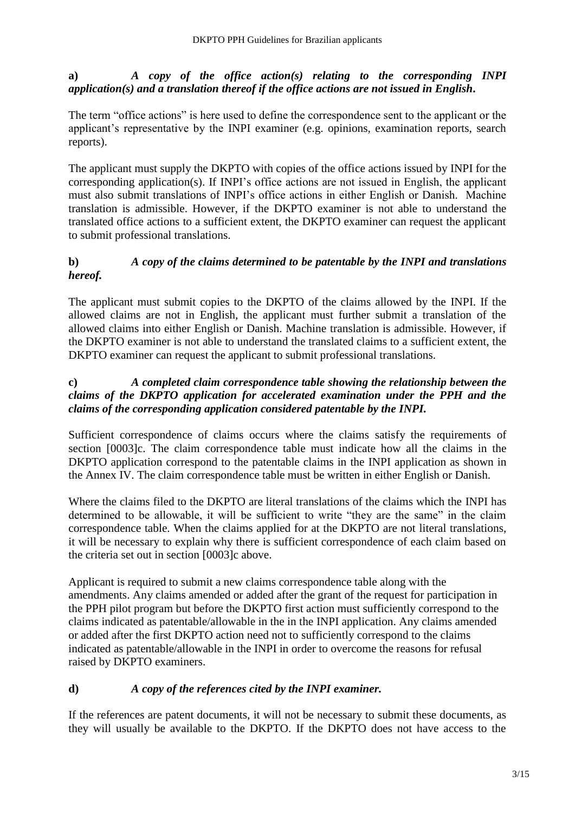**a)** *A copy of the office action(s) relating to the corresponding INPI application(s) and a translation thereof if the office actions are not issued in English***.** 

The term "office actions" is here used to define the correspondence sent to the applicant or the applicant's representative by the INPI examiner (e.g. opinions, examination reports, search reports).

The applicant must supply the DKPTO with copies of the office actions issued by INPI for the corresponding application(s). If INPI's office actions are not issued in English, the applicant must also submit translations of INPI's office actions in either English or Danish. Machine translation is admissible. However, if the DKPTO examiner is not able to understand the translated office actions to a sufficient extent, the DKPTO examiner can request the applicant to submit professional translations.

## **b)** *A copy of the claims determined to be patentable by the INPI and translations hereof.*

The applicant must submit copies to the DKPTO of the claims allowed by the INPI. If the allowed claims are not in English, the applicant must further submit a translation of the allowed claims into either English or Danish. Machine translation is admissible. However, if the DKPTO examiner is not able to understand the translated claims to a sufficient extent, the DKPTO examiner can request the applicant to submit professional translations.

## **c)** *A completed claim correspondence table showing the relationship between the claims of the DKPTO application for accelerated examination under the PPH and the claims of the corresponding application considered patentable by the INPI.*

Sufficient correspondence of claims occurs where the claims satisfy the requirements of section [0003]c. The claim correspondence table must indicate how all the claims in the DKPTO application correspond to the patentable claims in the INPI application as shown in the Annex IV. The claim correspondence table must be written in either English or Danish.

Where the claims filed to the DKPTO are literal translations of the claims which the INPI has determined to be allowable, it will be sufficient to write "they are the same" in the claim correspondence table. When the claims applied for at the DKPTO are not literal translations, it will be necessary to explain why there is sufficient correspondence of each claim based on the criteria set out in section [0003]c above.

Applicant is required to submit a new claims correspondence table along with the amendments. Any claims amended or added after the grant of the request for participation in the PPH pilot program but before the DKPTO first action must sufficiently correspond to the claims indicated as patentable/allowable in the in the INPI application. Any claims amended or added after the first DKPTO action need not to sufficiently correspond to the claims indicated as patentable/allowable in the INPI in order to overcome the reasons for refusal raised by DKPTO examiners.

## **d)** *A copy of the references cited by the INPI examiner.*

If the references are patent documents, it will not be necessary to submit these documents, as they will usually be available to the DKPTO. If the DKPTO does not have access to the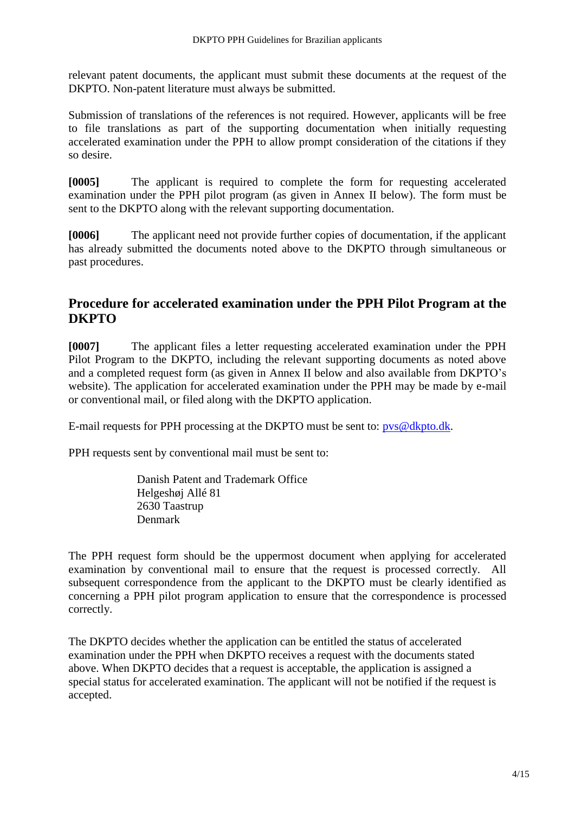relevant patent documents, the applicant must submit these documents at the request of the DKPTO. Non-patent literature must always be submitted.

Submission of translations of the references is not required. However, applicants will be free to file translations as part of the supporting documentation when initially requesting accelerated examination under the PPH to allow prompt consideration of the citations if they so desire.

**[0005]** The applicant is required to complete the form for requesting accelerated examination under the PPH pilot program (as given in Annex II below). The form must be sent to the DKPTO along with the relevant supporting documentation.

**[0006]** The applicant need not provide further copies of documentation, if the applicant has already submitted the documents noted above to the DKPTO through simultaneous or past procedures.

## **Procedure for accelerated examination under the PPH Pilot Program at the DKPTO**

**[0007]** The applicant files a letter requesting accelerated examination under the PPH Pilot Program to the DKPTO, including the relevant supporting documents as noted above and a completed request form (as given in Annex II below and also available from DKPTO's website). The application for accelerated examination under the PPH may be made by e-mail or conventional mail, or filed along with the DKPTO application.

E-mail requests for PPH processing at the DKPTO must be sent to: [pvs@dkpto.dk.](mailto:pvs@dkpto.dk)

PPH requests sent by conventional mail must be sent to:

Danish Patent and Trademark Office Helgeshøj Allé 81 2630 Taastrup Denmark

The PPH request form should be the uppermost document when applying for accelerated examination by conventional mail to ensure that the request is processed correctly. All subsequent correspondence from the applicant to the DKPTO must be clearly identified as concerning a PPH pilot program application to ensure that the correspondence is processed correctly.

The DKPTO decides whether the application can be entitled the status of accelerated examination under the PPH when DKPTO receives a request with the documents stated above. When DKPTO decides that a request is acceptable, the application is assigned a special status for accelerated examination. The applicant will not be notified if the request is accepted.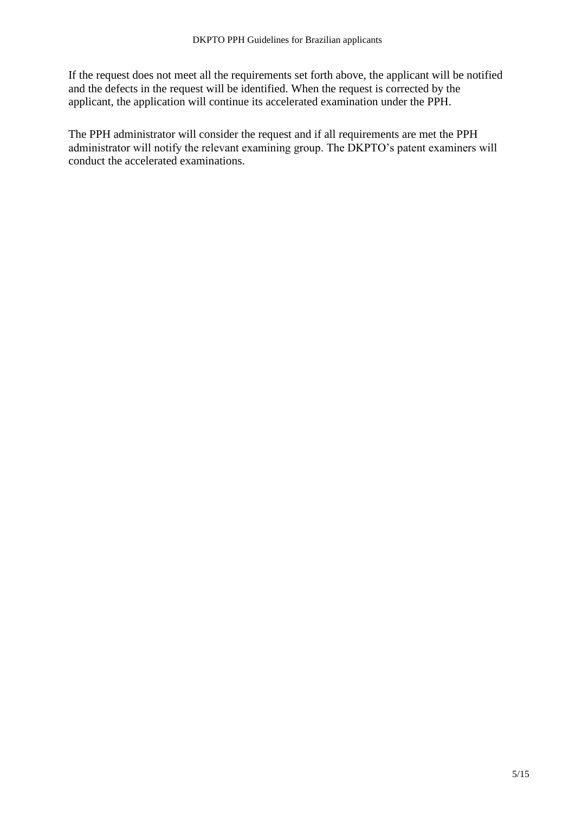If the request does not meet all the requirements set forth above, the applicant will be notified and the defects in the request will be identified. When the request is corrected by the applicant, the application will continue its accelerated examination under the PPH.

The PPH administrator will consider the request and if all requirements are met the PPH administrator will notify the relevant examining group. The DKPTO's patent examiners will conduct the accelerated examinations.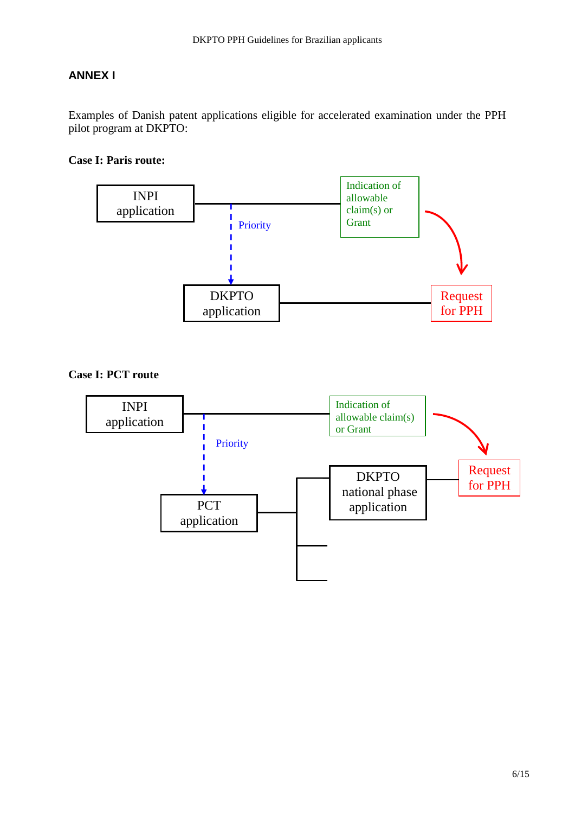## **ANNEX I**

Examples of Danish patent applications eligible for accelerated examination under the PPH pilot program at DKPTO:

#### **Case I: Paris route:**



**Case I: PCT route**

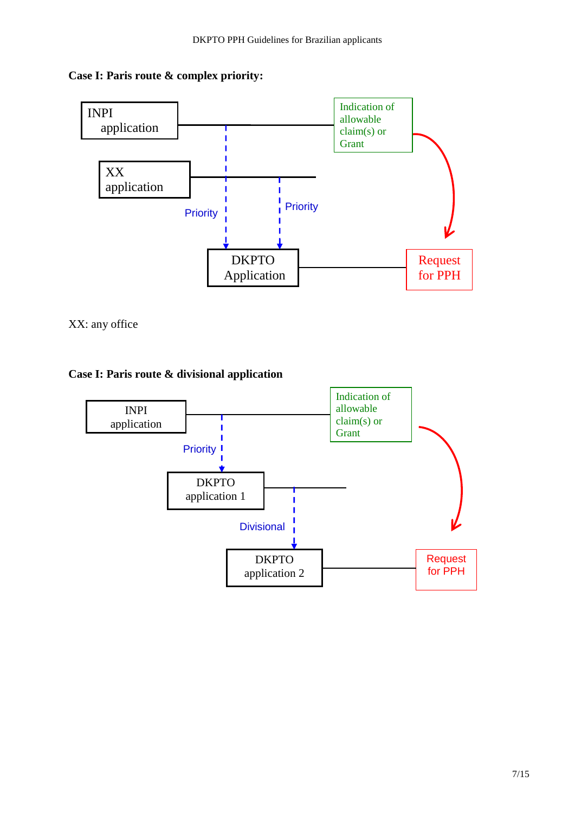



XX: any office



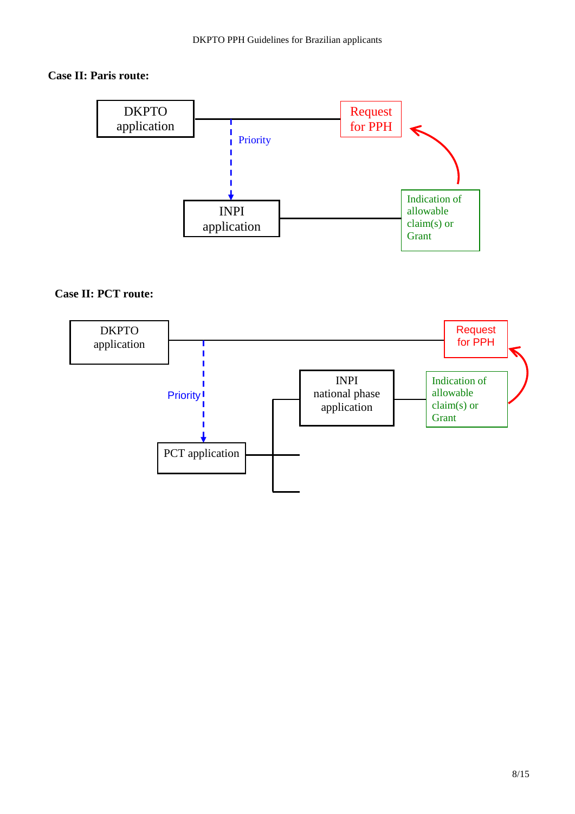#### **Case II: Paris route:**



## **Case II: PCT route:**

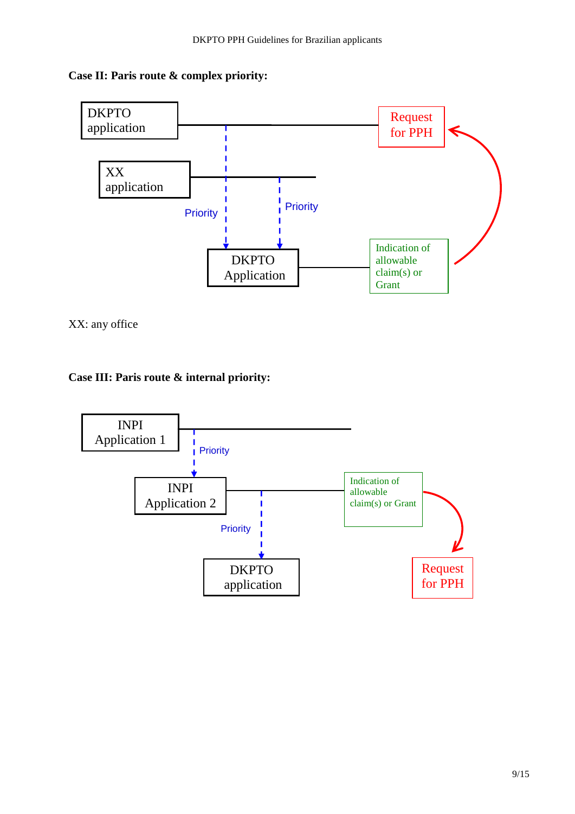## **Case II: Paris route & complex priority:**



XX: any office

## **Case III: Paris route & internal priority:**

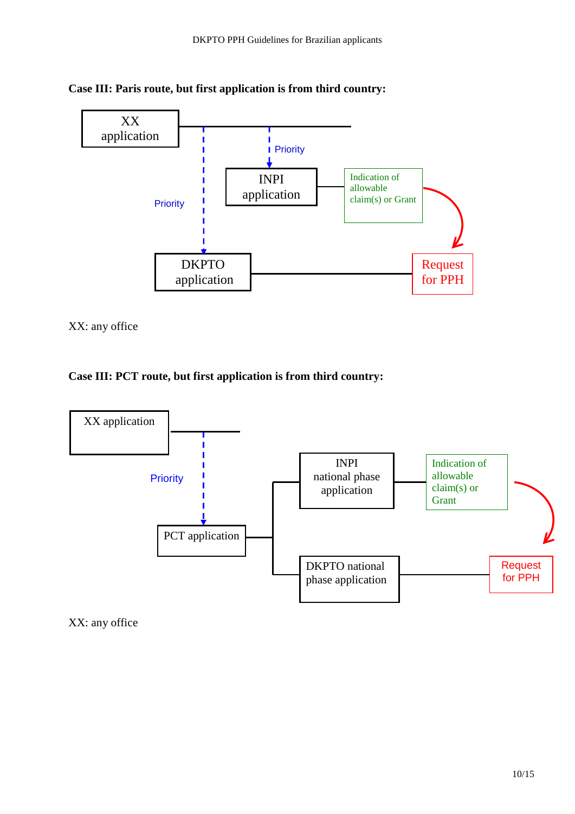



XX: any office

#### **Case III: PCT route, but first application is from third country:**



XX: any office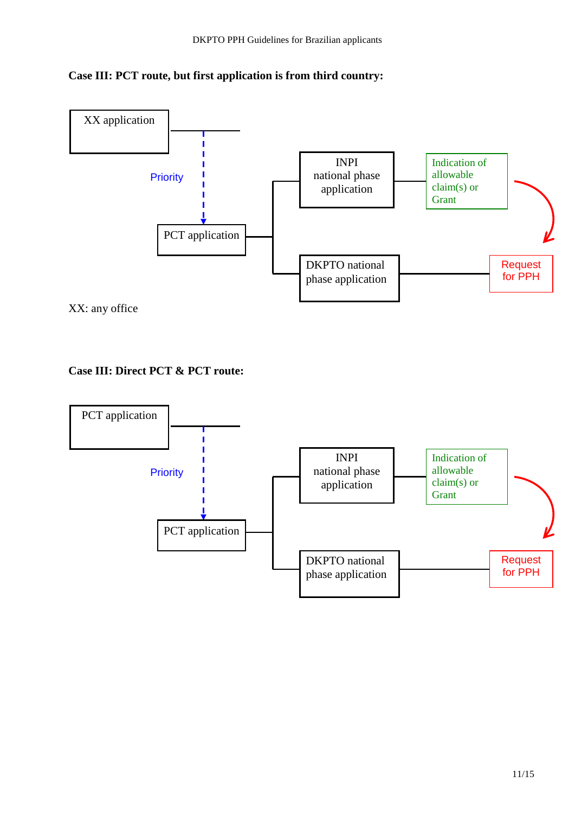



## **Case III: Direct PCT & PCT route:**

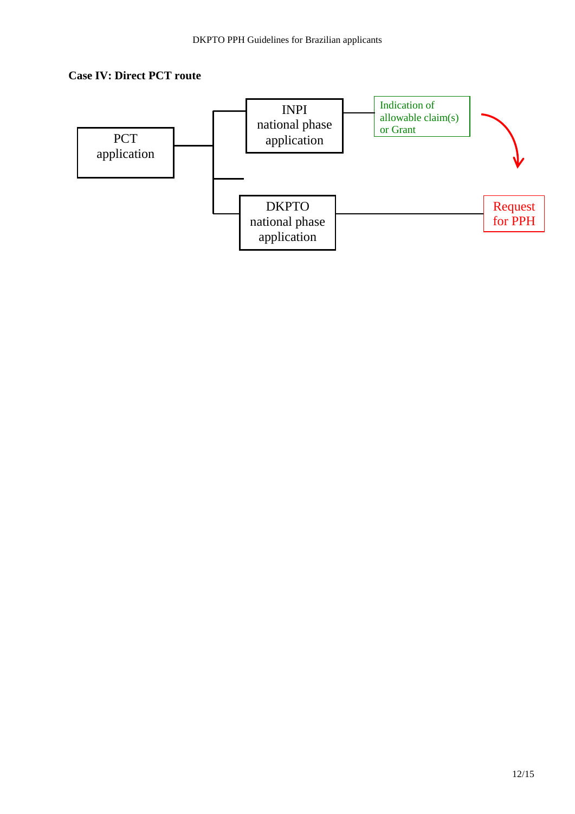#### **Case IV: Direct PCT route**

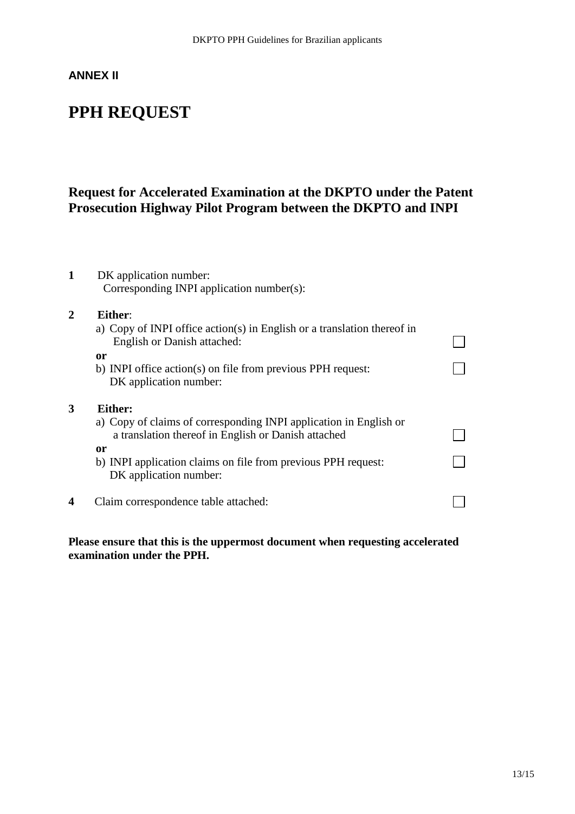## **ANNEX II**

# **PPH REQUEST**

# **Request for Accelerated Examination at the DKPTO under the Patent Prosecution Highway Pilot Program between the DKPTO and INPI**

| 1              | DK application number:                                                                                                   |  |  |  |  |  |
|----------------|--------------------------------------------------------------------------------------------------------------------------|--|--|--|--|--|
|                | Corresponding INPI application number(s):                                                                                |  |  |  |  |  |
| $\overline{2}$ | Either:                                                                                                                  |  |  |  |  |  |
|                | a) Copy of INPI office action(s) in English or a translation thereof in<br>English or Danish attached:                   |  |  |  |  |  |
|                | 0r                                                                                                                       |  |  |  |  |  |
|                | b) INPI office action(s) on file from previous PPH request:                                                              |  |  |  |  |  |
|                | DK application number:                                                                                                   |  |  |  |  |  |
| 3              | Either:                                                                                                                  |  |  |  |  |  |
|                | a) Copy of claims of corresponding INPI application in English or<br>a translation thereof in English or Danish attached |  |  |  |  |  |
|                | <sub>or</sub>                                                                                                            |  |  |  |  |  |
|                | b) INPI application claims on file from previous PPH request:<br>DK application number:                                  |  |  |  |  |  |
| 4              | Claim correspondence table attached:                                                                                     |  |  |  |  |  |
|                |                                                                                                                          |  |  |  |  |  |

**Please ensure that this is the uppermost document when requesting accelerated examination under the PPH.**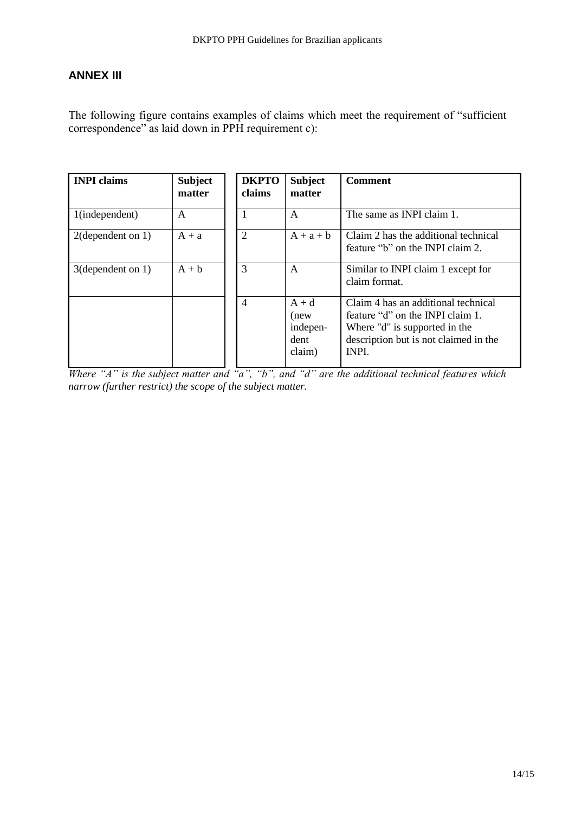## **ANNEX III**

The following figure contains examples of claims which meet the requirement of "sufficient correspondence" as laid down in PPH requirement c):

| <b>INPI</b> claims   | <b>Subject</b><br>matter | <b>DKPTO</b><br>claims | <b>Subject</b><br>matter                      | <b>Comment</b>                                                                                                                                             |
|----------------------|--------------------------|------------------------|-----------------------------------------------|------------------------------------------------------------------------------------------------------------------------------------------------------------|
| 1(independent)       | $\mathsf{A}$             |                        | $\mathsf{A}$                                  | The same as INPI claim 1.                                                                                                                                  |
| $2$ (dependent on 1) | $A + a$                  | 2                      | $A + a + b$                                   | Claim 2 has the additional technical<br>feature "b" on the INPI claim 2.                                                                                   |
| $3$ (dependent on 1) | $A + b$                  | 3                      | A                                             | Similar to INPI claim 1 except for<br>claim format.                                                                                                        |
|                      |                          | $\overline{4}$         | $A + d$<br>(new<br>indepen-<br>dent<br>claim) | Claim 4 has an additional technical<br>feature "d" on the INPI claim 1.<br>Where "d" is supported in the<br>description but is not claimed in the<br>INPI. |

*Where "A" is the subject matter and "a", "b", and "d" are the additional technical features which narrow (further restrict) the scope of the subject matter.*